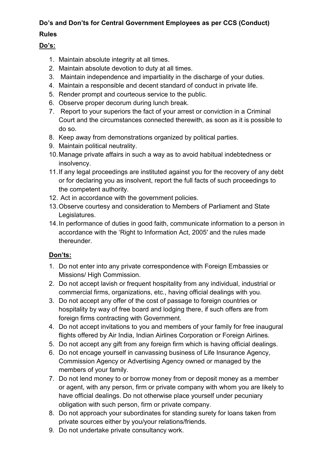## **Do's and Don'ts for Central Government Employees as per CCS (Conduct)**

## **Rules**

## **Do's:**

- 1. Maintain absolute integrity at all times.
- 2. Maintain absolute devotion to duty at all times.
- 3. Maintain independence and impartiality in the discharge of your duties.
- 4. Maintain a responsible and decent standard of conduct in private life.
- 5. Render prompt and courteous service to the public.
- 6. Observe proper decorum during lunch break.
- 7. Report to your superiors the fact of your arrest or conviction in a Criminal Court and the circumstances connected therewith, as soon as it is possible to do so.
- 8. Keep away from demonstrations organized by political parties.
- 9. Maintain political neutrality.
- 10.Manage private affairs in such a way as to avoid habitual indebtedness or insolvency.
- 11.If any legal proceedings are instituted against you for the recovery of any debt or for declaring you as insolvent, report the full facts of such proceedings to the competent authority.
- 12. Act in accordance with the government policies.
- 13.Observe courtesy and consideration to Members of Parliament and State Legislatures.
- 14.In performance of duties in good faith, communicate information to a person in accordance with the 'Right to Information Act, 2005′ and the rules made thereunder.

## **Don'ts:**

- 1. Do not enter into any private correspondence with Foreign Embassies or Missions/ High Commission.
- 2. Do not accept lavish or frequent hospitality from any individual, industrial or commercial firms, organizations, etc., having official dealings with you.
- 3. Do not accept any offer of the cost of passage to foreign countries or hospitality by way of free board and lodging there, if such offers are from foreign firms contracting with Government.
- 4. Do not accept invitations to you and members of your family for free inaugural flights offered by Air India, Indian Airlines Corporation or Foreign Airlines.
- 5. Do not accept any gift from any foreign firm which is having official dealings.
- 6. Do not encage yourself in canvassing business of Life Insurance Agency, Commission Agency or Advertising Agency owned or managed by the members of your family.
- 7. Do not lend money to or borrow money from or deposit money as a member or agent, with any person, firm or private company with whom you are likely to have official dealings. Do not otherwise place yourself under pecuniary obligation with such person, firm or private company.
- 8. Do not approach your subordinates for standing surety for loans taken from private sources either by you/your relations/friends.
- 9. Do not undertake private consultancy work.